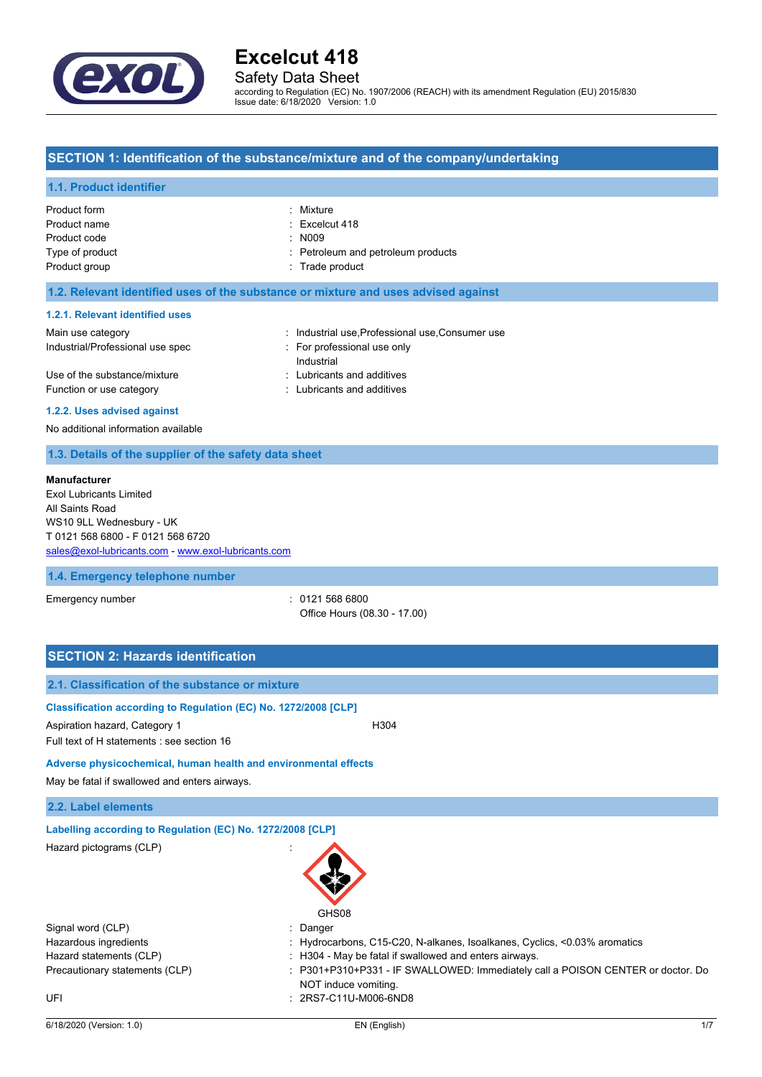

## Safety Data Sheet

according to Regulation (EC) No. 1907/2006 (REACH) with its amendment Regulation (EU) 2015/830 Issue date: 6/18/2020 Version: 1.0

## **SECTION 1: Identification of the substance/mixture and of the company/undertaking**

#### **1.1. Product identifier**

| Product form    | : Mixture                          |
|-----------------|------------------------------------|
| Product name    | $:$ Excelcut 418                   |
| Product code    | $\therefore$ N009                  |
| Type of product | : Petroleum and petroleum products |
| Product group   | : Trade product                    |
|                 |                                    |
|                 |                                    |

### **1.2. Relevant identified uses of the substance or mixture and uses advised against**

### **1.2.1. Relevant identified uses**

| Main use category                | : Industrial use Professional use Consumer use |
|----------------------------------|------------------------------------------------|
| Industrial/Professional use spec | For professional use only                      |
|                                  | Industrial                                     |
| Use of the substance/mixture     | : Lubricants and additives                     |
| Function or use category         | : Lubricants and additives                     |
|                                  |                                                |

#### **1.2.2. Uses advised against**

No additional information available

## **1.3. Details of the supplier of the safety data sheet**

#### **Manufacturer**

Exol Lubricants Limited All Saints Road WS10 9LL Wednesbury - UK T 0121 568 6800 - F 0121 568 6720 [sales@exol-lubricants.com](mailto:sales@exol-lubricants.com) - <www.exol-lubricants.com>

#### **1.4. Emergency telephone number**

Emergency number : 0121 568 6800 Office Hours (08.30 - 17.00)

| <b>SECTION 2: Hazards identification</b>                                                                                                       |                                                                                                       |
|------------------------------------------------------------------------------------------------------------------------------------------------|-------------------------------------------------------------------------------------------------------|
| 2.1. Classification of the substance or mixture                                                                                                |                                                                                                       |
| Classification according to Regulation (EC) No. 1272/2008 [CLP]<br>Aspiration hazard, Category 1<br>Full text of H statements : see section 16 | H304                                                                                                  |
| Adverse physicochemical, human health and environmental effects                                                                                |                                                                                                       |
| May be fatal if swallowed and enters airways.                                                                                                  |                                                                                                       |
| 2.2. Label elements                                                                                                                            |                                                                                                       |
| Labelling according to Regulation (EC) No. 1272/2008 [CLP]                                                                                     |                                                                                                       |
| Hazard pictograms (CLP)                                                                                                                        | GHS08                                                                                                 |
| Signal word (CLP)                                                                                                                              | Danger                                                                                                |
| Hazardous ingredients                                                                                                                          | Hydrocarbons, C15-C20, N-alkanes, Isoalkanes, Cyclics, <0.03% aromatics                               |
| Hazard statements (CLP)                                                                                                                        | H304 - May be fatal if swallowed and enters airways.                                                  |
| Precautionary statements (CLP)                                                                                                                 | P301+P310+P331 - IF SWALLOWED: Immediately call a POISON CENTER or doctor. Do<br>NOT induce vomiting. |
| UFI                                                                                                                                            | : 2RS7-C11U-M006-6ND8                                                                                 |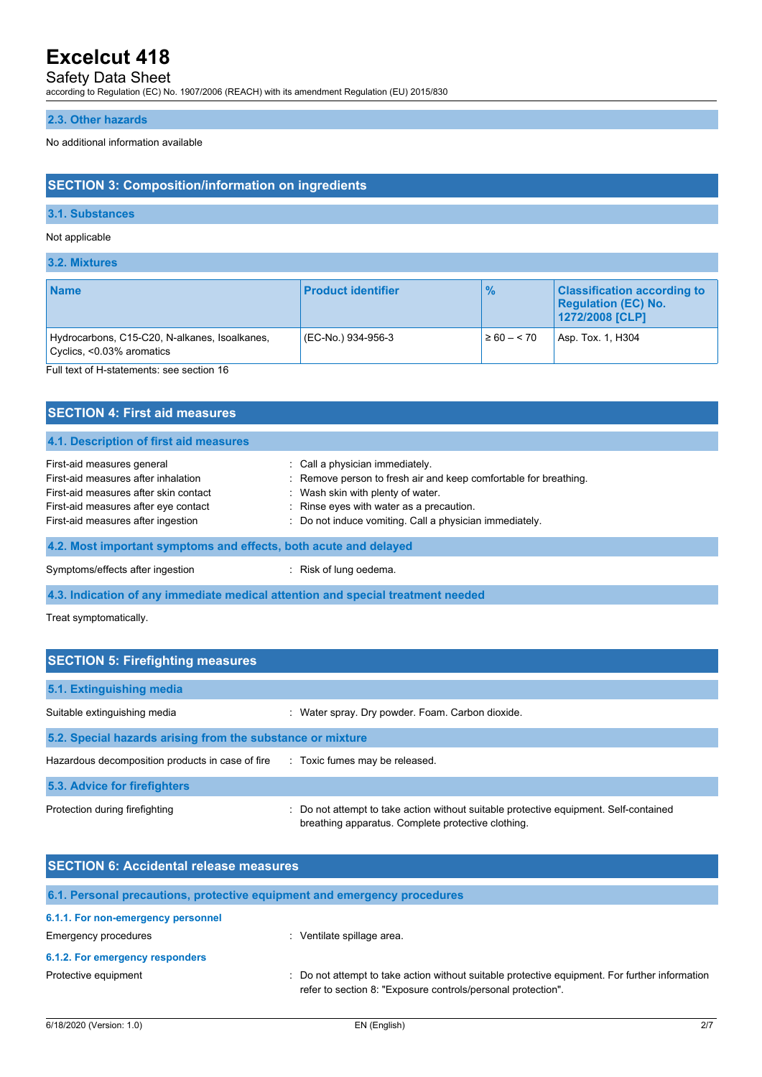## Safety Data Sheet

according to Regulation (EC) No. 1907/2006 (REACH) with its amendment Regulation (EU) 2015/830

### **2.3. Other hazards**

No additional information available

## **SECTION 3: Composition/information on ingredients**

### **3.1. Substances**

#### Not applicable

**3.2. Mixtures**

| <b>Name</b>                                                                                                             | <b>Product identifier</b> | $\frac{9}{6}$   | <b>Classification according to</b><br><b>Regulation (EC) No.</b><br>1272/2008 [CLP] |
|-------------------------------------------------------------------------------------------------------------------------|---------------------------|-----------------|-------------------------------------------------------------------------------------|
| Hydrocarbons, C15-C20, N-alkanes, Isoalkanes,<br>Cyclics, <0.03% aromatics<br>Full toxt of H ototomonto: and apotion 16 | (EC-No.) 934-956-3        | $\geq 60 - 570$ | Asp. Tox. 1, H304                                                                   |

Full text of H-statements: see section 16

| <b>SECTION 4: First aid measures</b>                                                                                                                                                     |                                                                                                                                                                                                                                                 |  |
|------------------------------------------------------------------------------------------------------------------------------------------------------------------------------------------|-------------------------------------------------------------------------------------------------------------------------------------------------------------------------------------------------------------------------------------------------|--|
| 4.1. Description of first aid measures                                                                                                                                                   |                                                                                                                                                                                                                                                 |  |
| First-aid measures general<br>First-aid measures after inhalation<br>First-aid measures after skin contact<br>First-aid measures after eye contact<br>First-aid measures after ingestion | : Call a physician immediately.<br>: Remove person to fresh air and keep comfortable for breathing.<br>: Wash skin with plenty of water.<br>: Rinse eyes with water as a precaution.<br>: Do not induce vomiting. Call a physician immediately. |  |
| 4.2. Most important symptoms and effects, both acute and delayed                                                                                                                         |                                                                                                                                                                                                                                                 |  |
| Symptoms/effects after ingestion                                                                                                                                                         | : Risk of lung oedema.                                                                                                                                                                                                                          |  |
| 4.3. Indication of any immediate medical attention and special treatment needed                                                                                                          |                                                                                                                                                                                                                                                 |  |

Treat symptomatically.

| <b>SECTION 5: Firefighting measures</b>                    |                                                                                                                                             |  |  |
|------------------------------------------------------------|---------------------------------------------------------------------------------------------------------------------------------------------|--|--|
| 5.1. Extinguishing media                                   |                                                                                                                                             |  |  |
| Suitable extinguishing media                               | : Water spray. Dry powder. Foam. Carbon dioxide.                                                                                            |  |  |
| 5.2. Special hazards arising from the substance or mixture |                                                                                                                                             |  |  |
| Hazardous decomposition products in case of fire           | : Toxic fumes may be released.                                                                                                              |  |  |
| 5.3. Advice for firefighters                               |                                                                                                                                             |  |  |
| Protection during firefighting                             | : Do not attempt to take action without suitable protective equipment. Self-contained<br>breathing apparatus. Complete protective clothing. |  |  |

| <b>SECTION 6: Accidental release measures</b> |                                                                                                                                                              |  |  |
|-----------------------------------------------|--------------------------------------------------------------------------------------------------------------------------------------------------------------|--|--|
|                                               | 6.1. Personal precautions, protective equipment and emergency procedures                                                                                     |  |  |
| 6.1.1. For non-emergency personnel            |                                                                                                                                                              |  |  |
| Emergency procedures                          | Ventilate spillage area.                                                                                                                                     |  |  |
| 6.1.2. For emergency responders               |                                                                                                                                                              |  |  |
| Protective equipment                          | Do not attempt to take action without suitable protective equipment. For further information<br>refer to section 8: "Exposure controls/personal protection". |  |  |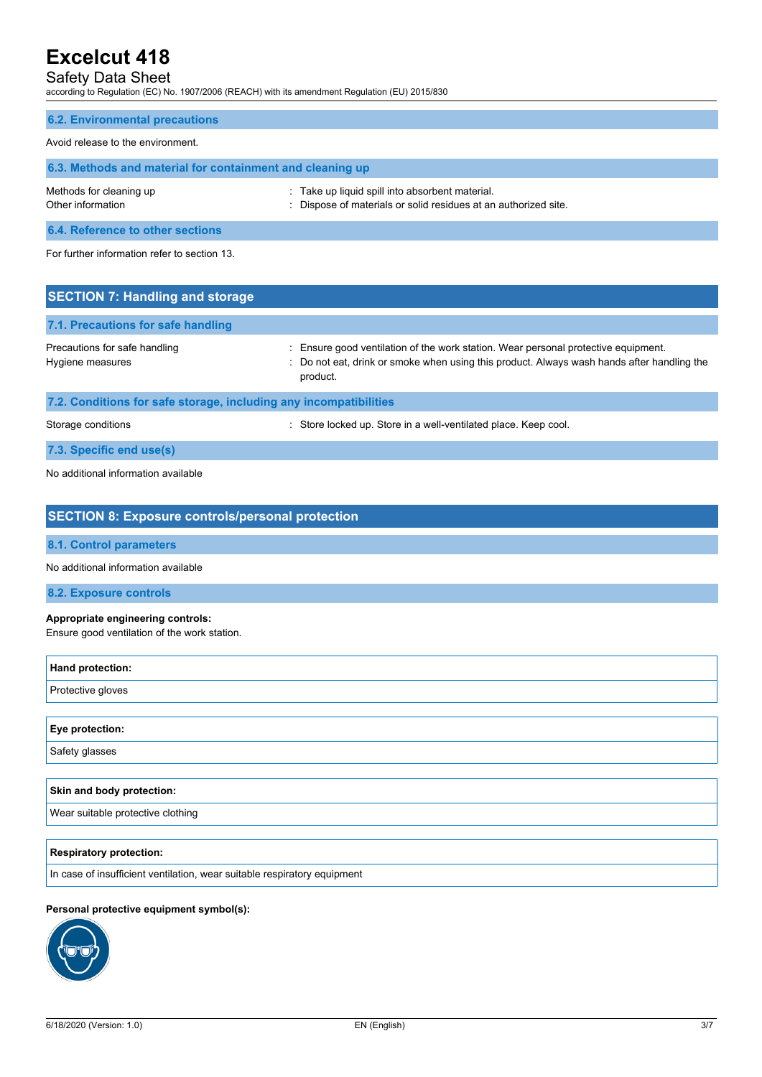## Safety Data Sheet

according to Regulation (EC) No. 1907/2006 (REACH) with its amendment Regulation (EU) 2015/830

## **6.2. Environmental precautions**

### Avoid release to the environment.

| 6.3. Methods and material for containment and cleaning up |                                                                                                                  |  |  |
|-----------------------------------------------------------|------------------------------------------------------------------------------------------------------------------|--|--|
| Methods for cleaning up<br>Other information              | Take up liquid spill into absorbent material.<br>: Dispose of materials or solid residues at an authorized site. |  |  |
| <b>A A BULL</b> A STORY AND A RESIDENCE A RESIDENCE.      |                                                                                                                  |  |  |

**6.4. Reference to other sections**

For further information refer to section 13.

| <b>SECTION 7: Handling and storage</b>                            |                                                                                                                                                                                            |  |  |
|-------------------------------------------------------------------|--------------------------------------------------------------------------------------------------------------------------------------------------------------------------------------------|--|--|
| 7.1. Precautions for safe handling                                |                                                                                                                                                                                            |  |  |
| Precautions for safe handling<br>Hygiene measures                 | Ensure good ventilation of the work station. Wear personal protective equipment.<br>: Do not eat, drink or smoke when using this product. Always wash hands after handling the<br>product. |  |  |
| 7.2. Conditions for safe storage, including any incompatibilities |                                                                                                                                                                                            |  |  |
| Storage conditions                                                | : Store locked up. Store in a well-ventilated place. Keep cool.                                                                                                                            |  |  |
| 7.3. Specific end use(s)                                          |                                                                                                                                                                                            |  |  |

No additional information available

| <b>SECTION 8: Exposure controls/personal protection</b>                           |
|-----------------------------------------------------------------------------------|
| <b>8.1. Control parameters</b>                                                    |
| No additional information available                                               |
| 8.2. Exposure controls                                                            |
| Appropriate engineering controls:<br>Ensure good ventilation of the work station. |
| Hand protection:                                                                  |
| Protective gloves                                                                 |
|                                                                                   |
| Eye protection:                                                                   |
| Safety glasses                                                                    |
| Skin and body protection:                                                         |
| Wear suitable protective clothing                                                 |
|                                                                                   |
| <b>Respiratory protection:</b>                                                    |
| In case of insufficient ventilation, wear suitable respiratory equipment          |
|                                                                                   |

## **Personal protective equipment symbol(s):**

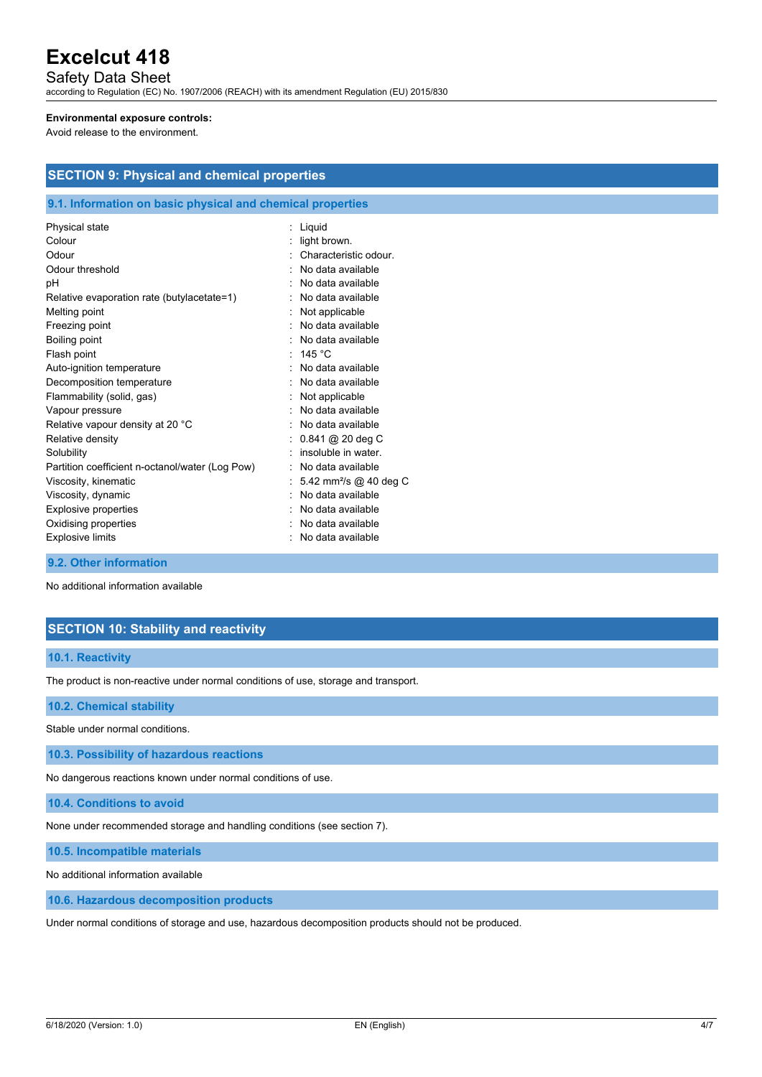Safety Data Sheet

according to Regulation (EC) No. 1907/2006 (REACH) with its amendment Regulation (EU) 2015/830

#### **Environmental exposure controls:**

Avoid release to the environment.

| <b>SECTION 9: Physical and chemical properties</b> |  |
|----------------------------------------------------|--|
|----------------------------------------------------|--|

### **9.1. Information on basic physical and chemical properties**

| Physical state                                  | Liquid                             |
|-------------------------------------------------|------------------------------------|
| Colour                                          | light brown.                       |
| Odour                                           | Characteristic odour               |
| Odour threshold                                 | No data available                  |
| рH                                              | No data available                  |
| Relative evaporation rate (butylacetate=1)      | No data available                  |
| Melting point                                   | Not applicable                     |
| Freezing point                                  | No data available                  |
| Boiling point                                   | No data available                  |
| Flash point                                     | 145 $^{\circ}$ C                   |
| Auto-ignition temperature                       | No data available                  |
| Decomposition temperature                       | No data available                  |
| Flammability (solid, gas)                       | Not applicable                     |
| Vapour pressure                                 | No data available                  |
| Relative vapour density at 20 °C                | No data available                  |
| Relative density                                | $0.841$ @ 20 deg C                 |
| Solubility                                      | insoluble in water.                |
| Partition coefficient n-octanol/water (Log Pow) | No data available                  |
| Viscosity, kinematic                            | 5.42 mm <sup>2</sup> /s @ 40 deg C |
| Viscosity, dynamic                              | No data available                  |
| <b>Explosive properties</b>                     | No data available                  |
| Oxidising properties                            | No data available                  |
| <b>Explosive limits</b>                         | No data available                  |
|                                                 |                                    |

**9.2. Other information**

No additional information available

## **SECTION 10: Stability and reactivity**

#### **10.1. Reactivity**

The product is non-reactive under normal conditions of use, storage and transport.

#### **10.2. Chemical stability**

Stable under normal conditions.

**10.3. Possibility of hazardous reactions**

No dangerous reactions known under normal conditions of use.

**10.4. Conditions to avoid**

None under recommended storage and handling conditions (see section 7).

**10.5. Incompatible materials**

No additional information available

**10.6. Hazardous decomposition products**

Under normal conditions of storage and use, hazardous decomposition products should not be produced.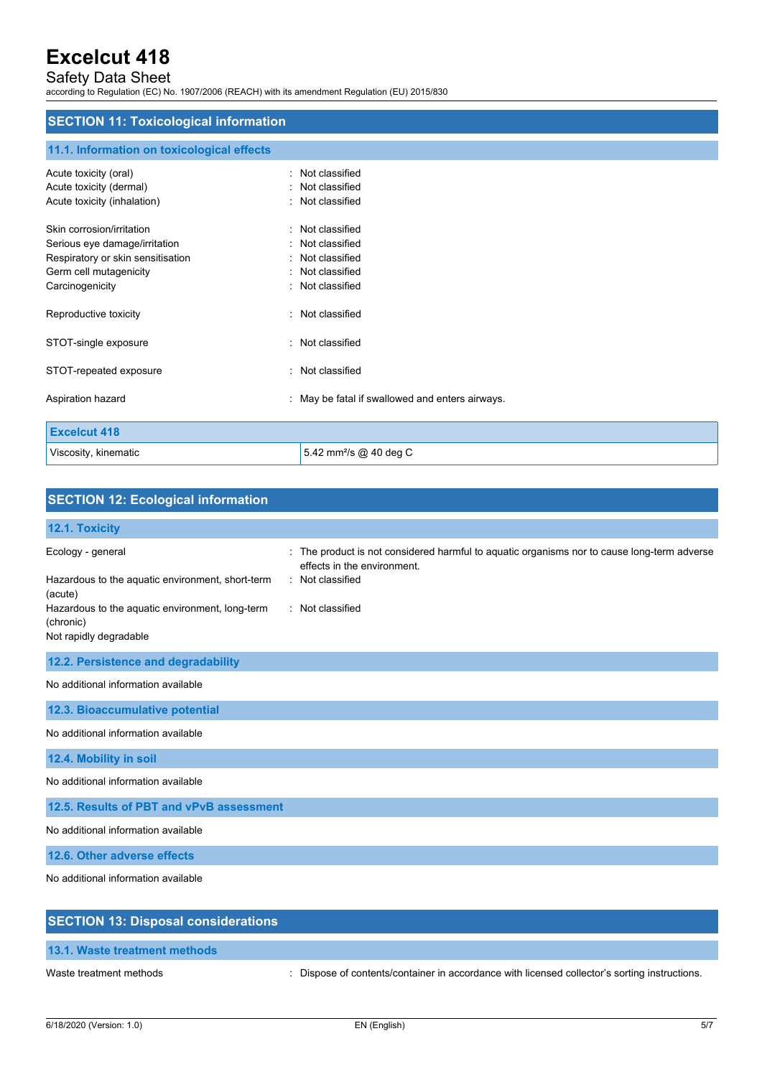## Safety Data Sheet

according to Regulation (EC) No. 1907/2006 (REACH) with its amendment Regulation (EU) 2015/830

## **SECTION 11: Toxicological information**

## **11.1. Information on toxicological effects**

| Acute toxicity (oral)             | : Not classified                                |
|-----------------------------------|-------------------------------------------------|
| Acute toxicity (dermal)           | : Not classified                                |
| Acute toxicity (inhalation)       | : Not classified                                |
| Skin corrosion/irritation         | : Not classified                                |
| Serious eye damage/irritation     | : Not classified                                |
| Respiratory or skin sensitisation | : Not classified                                |
| Germ cell mutagenicity            | : Not classified                                |
| Carcinogenicity                   | : Not classified                                |
| Reproductive toxicity             | : Not classified                                |
| STOT-single exposure              | : Not classified                                |
| STOT-repeated exposure            | : Not classified                                |
| Aspiration hazard                 | : May be fatal if swallowed and enters airways. |
| <b>Excelcut 418</b>               |                                                 |
| Viscosity, kinematic              | 5.42 mm <sup>2</sup> /s @ 40 deg C              |

| <b>SECTION 12: Ecological information</b>                                                                                                                                  |                                                                                                                                                                    |
|----------------------------------------------------------------------------------------------------------------------------------------------------------------------------|--------------------------------------------------------------------------------------------------------------------------------------------------------------------|
| 12.1. Toxicity                                                                                                                                                             |                                                                                                                                                                    |
| Ecology - general<br>Hazardous to the aquatic environment, short-term<br>(acute)<br>Hazardous to the aquatic environment, long-term<br>(chronic)<br>Not rapidly degradable | : The product is not considered harmful to aquatic organisms nor to cause long-term adverse<br>effects in the environment.<br>: Not classified<br>: Not classified |
| 12.2. Persistence and degradability                                                                                                                                        |                                                                                                                                                                    |
| No additional information available                                                                                                                                        |                                                                                                                                                                    |
| 12.3. Bioaccumulative potential                                                                                                                                            |                                                                                                                                                                    |
| No additional information available                                                                                                                                        |                                                                                                                                                                    |
| 12.4. Mobility in soil                                                                                                                                                     |                                                                                                                                                                    |
| No additional information available                                                                                                                                        |                                                                                                                                                                    |
| 12.5. Results of PBT and vPvB assessment                                                                                                                                   |                                                                                                                                                                    |
| No additional information available                                                                                                                                        |                                                                                                                                                                    |
| 12.6. Other adverse effects                                                                                                                                                |                                                                                                                                                                    |
| No additional information available                                                                                                                                        |                                                                                                                                                                    |
| <b>SECTION 13: Disposal considerations</b>                                                                                                                                 |                                                                                                                                                                    |

**13.1. Waste treatment methods**

Waste treatment methods : Dispose of contents/container in accordance with licensed collector's sorting instructions.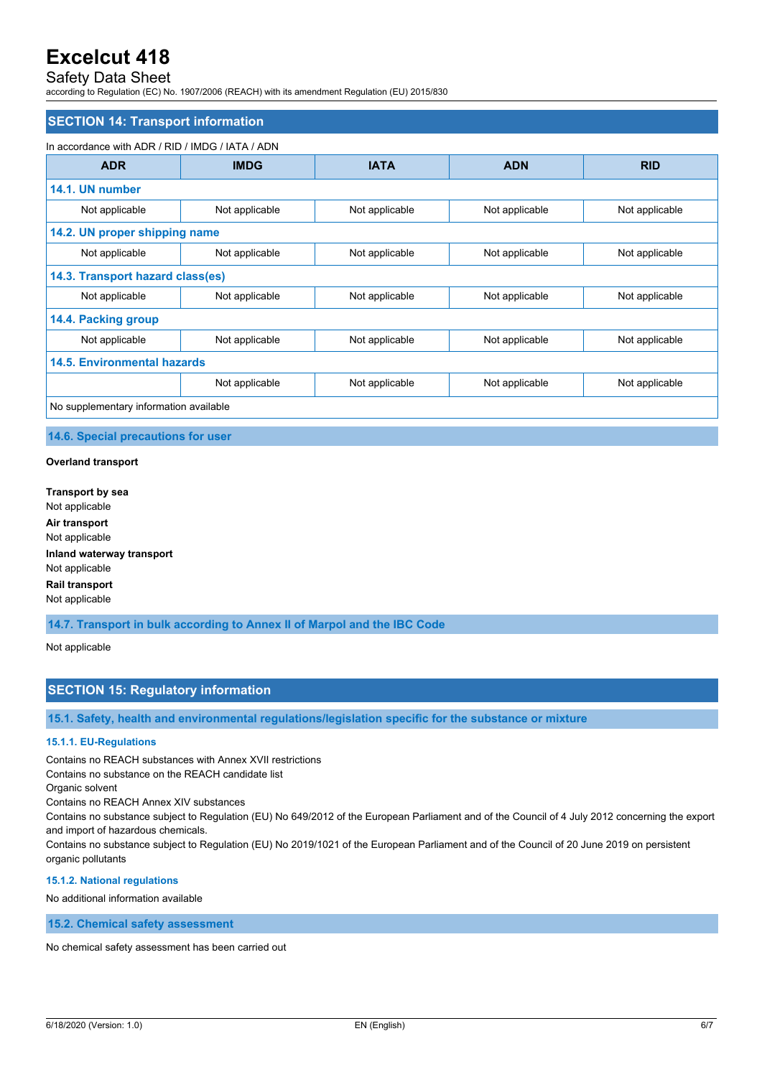## Safety Data Sheet

according to Regulation (EC) No. 1907/2006 (REACH) with its amendment Regulation (EU) 2015/830

### **SECTION 14: Transport information**

#### In accordance with ADR / RID / IMDG / IATA / ADN

| <b>ADR</b>                             | <b>IMDG</b>    | <b>IATA</b>    | <b>ADN</b>     | <b>RID</b>     |  |
|----------------------------------------|----------------|----------------|----------------|----------------|--|
| 14.1. UN number                        |                |                |                |                |  |
| Not applicable                         | Not applicable | Not applicable | Not applicable | Not applicable |  |
| 14.2. UN proper shipping name          |                |                |                |                |  |
| Not applicable                         | Not applicable | Not applicable | Not applicable | Not applicable |  |
| 14.3. Transport hazard class(es)       |                |                |                |                |  |
| Not applicable                         | Not applicable | Not applicable | Not applicable | Not applicable |  |
| 14.4. Packing group                    |                |                |                |                |  |
| Not applicable                         | Not applicable | Not applicable | Not applicable | Not applicable |  |
| <b>14.5. Environmental hazards</b>     |                |                |                |                |  |
|                                        | Not applicable | Not applicable | Not applicable | Not applicable |  |
| No supplementary information available |                |                |                |                |  |

#### **14.6. Special precautions for user**

#### **Overland transport**

**Transport by sea** Not applicable **Air transport** Not applicable **Inland waterway transport** Not applicable **Rail transport** Not applicable

**14.7. Transport in bulk according to Annex II of Marpol and the IBC Code**

#### Not applicable

### **SECTION 15: Regulatory information**

**15.1. Safety, health and environmental regulations/legislation specific for the substance or mixture**

#### **15.1.1. EU-Regulations**

Contains no REACH substances with Annex XVII restrictions

Contains no substance on the REACH candidate list

Organic solvent

Contains no REACH Annex XIV substances

Contains no substance subject to Regulation (EU) No 649/2012 of the European Parliament and of the Council of 4 July 2012 concerning the export and import of hazardous chemicals.

Contains no substance subject to Regulation (EU) No 2019/1021 of the European Parliament and of the Council of 20 June 2019 on persistent organic pollutants

#### **15.1.2. National regulations**

No additional information available

**15.2. Chemical safety assessment**

No chemical safety assessment has been carried out